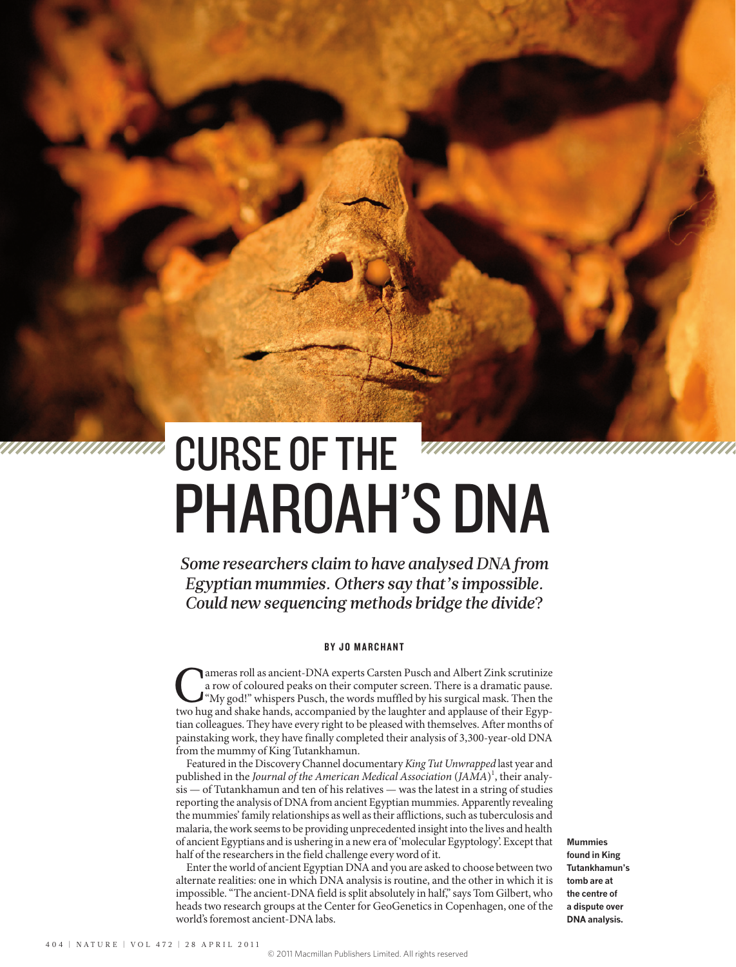# PHAROAH'S DNA CURSE OF THE

*Some researchers claim to have analysed DNA from Egyptian mummies. Others say that's impossible. Could new sequencing methods bridge the divide*?

## BY JO MARCHANT

The analysis of coloured peaks on their computer screen. There is a dramatic pause.<br>
"My god!" whispers Pusch, the words muffled by his surgical mask. Then the two hug and shake hands, accompanied by the laughter and appla a row of coloured peaks on their computer screen. There is a dramatic pause. two hug and shake hands, accompanied by the laughter and applause of their Egyptian colleagues. They have every right to be pleased with themselves. After months of painstaking work, they have finally completed their analysis of 3,300-year-old DNA from the mummy of King Tutankhamun.

Featured in the Discovery Channel documentary *King Tut Unwrapped* last year and published in the *Journal of the American Medical Association* (*JAMA*) 1 , their analysis — of Tutankhamun and ten of his relatives — was the latest in a string of studies reporting the analysis of DNA from ancient Egyptian mummies. Apparently revealing the mummies' family relationships as well as their afflictions, such as tuberculosis and malaria, the work seems to be providing unprecedented insight into the lives and health of ancient Egyptians and is ushering in a new era of 'molecular Egyptology'. Except that half of the researchers in the field challenge every word of it.

Enter the world of ancient Egyptian DNA and you are asked to choose between two alternate realities: one in which DNA analysis is routine, and the other in which it is impossible. "The ancient-DNA field is split absolutely in half," says Tom Gilbert, who heads two research groups at the Center for GeoGenetics in Copenhagen, one of the world's foremost ancient-DNA labs.

**Mummies found in King Tutankhamun's tomb are at the centre of a dispute over DNA analysis.**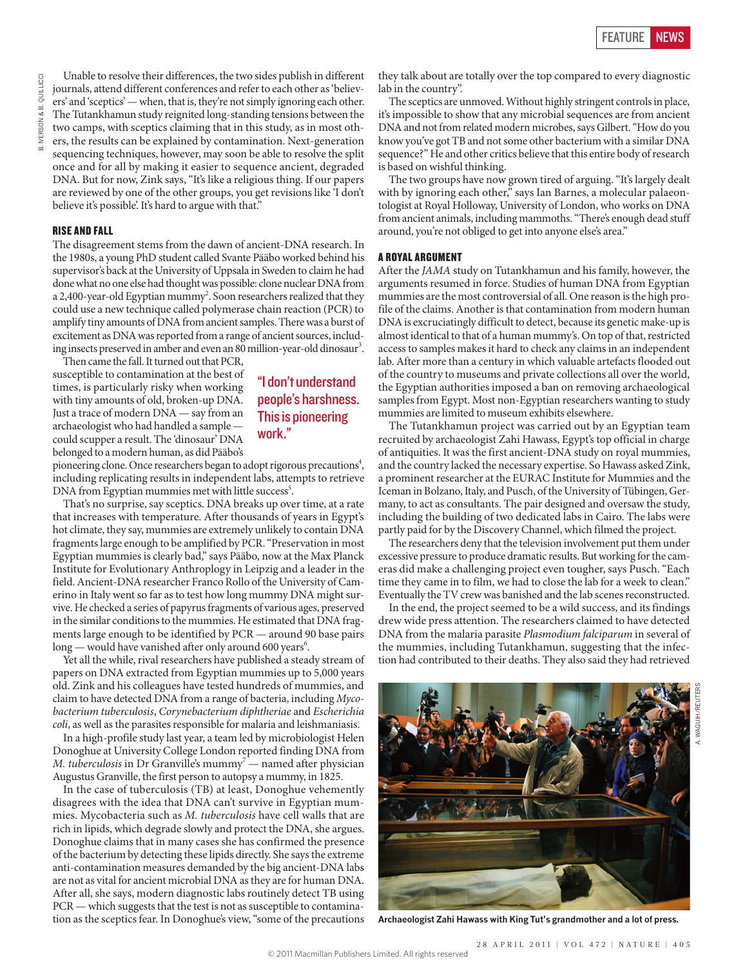Unable to resolve their differences, the two sides publish in different journals, attend different conferences and refer to each other as 'believers' and 'sceptics' — when, that is, they're not simply ignoring each other. The Tutankhamun study reignited long-standing tensions between the two camps, with sceptics claiming that in this study, as in most others, the results can be explained by contamination. Next-generation sequencing techniques, however, may soon be able to resolve the split once and for all by making it easier to sequence ancient, degraded DNA. But for now, Zink says, "It's like a religious thing. If our papers are reviewed by one of the other groups, you get revisions like 'I don't believe it's possible'. It's hard to argue with that."

### RISE AND FALL

The disagreement stems from the dawn of ancient-DNA research. In the 1980s, a young PhD student called Svante Pääbo worked behind his supervisor's back at the University of Uppsala in Sweden to claim he had done what no one else had thought was possible: clone nuclear DNA from a 2,400-year-old Egyptian mummy<sup>2</sup>. Soon researchers realized that they could use a new technique called polymerase chain reaction (PCR) to amplify tiny amounts of DNA from ancient samples. There was a burst of excitement as DNA was reported from a range of ancient sources, including insects preserved in amber and even an 80 million-year-old dinosaur $^3.$ 

Then came the fall. It turned out that PCR, susceptible to contamination at the best of times, is particularly risky when working with tiny amounts of old, broken-up DNA. Just a trace of modern DNA — say from an archaeologist who had handled a sample could scupper a result. The 'dinosaur' DNA belonged to a modern human, as did Pääbo's

# "I don't understand people's harshness. This is pioneering work."

pioneering clone. Once researchers began to adopt rigorous precautions<sup>4</sup>, including replicating results in independent labs, attempts to retrieve DNA from Egyptian mummies met with little success<sup>5</sup>.

That's no surprise, say sceptics. DNA breaks up over time, at a rate that increases with temperature. After thousands of years in Egypt's hot climate, they say, mummies are extremely unlikely to contain DNA fragments large enough to be amplified by PCR. "Preservation in most Egyptian mummies is clearly bad," says Pääbo, now at the Max Planck Institute for Evolutionary Anthroplogy in Leipzig and a leader in the field. Ancient-DNA researcher Franco Rollo of the University of Camerino in Italy went so far as to test how long mummy DNA might survive. He checked a series of papyrus fragments of various ages, preserved in the similar conditions to the mummies. He estimated that DNA fragments large enough to be identified by PCR — around 90 base pairs  $\log$  — would have vanished after only around 600 years $^6$ .

Yet all the while, rival researchers have published a steady stream of papers on DNA extracted from Egyptian mummies up to 5,000 years old. Zink and his colleagues have tested hundreds of mummies, and claim to have detected DNA from a range of bacteria, including *Mycobacterium tuberculosis*, *Corynebacterium diphtheriae* and *Escherichia coli*, as well as the parasites responsible for malaria and leishmaniasis.

In a high-profile study last year, a team led by microbiologist Helen Donoghue at University College London reported finding DNA from  $M$ . tuberculosis in Dr Granville's mummy $\bar{y}$  — named after physician Augustus Granville, the first person to autopsy a mummy, in 1825.

In the case of tuberculosis (TB) at least, Donoghue vehemently disagrees with the idea that DNA can't survive in Egyptian mummies. Mycobacteria such as *M. tuberculosis* have cell walls that are rich in lipids, which degrade slowly and protect the DNA, she argues. Donoghue claims that in many cases she has confirmed the presence of the bacterium by detecting these lipids directly. She says the extreme anti-contamination measures demanded by the big ancient-DNA labs are not as vital for ancient microbial DNA as they are for human DNA. After all, she says, modern diagnostic labs routinely detect TB using PCR — which suggests that the test is not as susceptible to contamination as the sceptics fear. In Donoghue's view, "some of the precautions they talk about are totally over the top compared to every diagnostic lab in the country".

The sceptics are unmoved. Without highly stringent controls in place, it's impossible to show that any microbial sequences are from ancient DNA and not from related modern microbes, says Gilbert. "How do you know you've got TB and not some other bacterium with a similar DNA sequence?" He and other critics believe that this entire body of research is based on wishful thinking.

The two groups have now grown tired of arguing. "It's largely dealt with by ignoring each other," says Ian Barnes, a molecular palaeontologist at Royal Holloway, University of London, who works on DNA from ancient animals, including mammoths. "There's enough dead stuff around, you're not obliged to get into anyone else's area."

## A ROYAL ARGUMENT

After the *JAMA* study on Tutankhamun and his family, however, the arguments resumed in force. Studies of human DNA from Egyptian mummies are the most controversial of all. One reason is the high profile of the claims. Another is that contamination from modern human DNA is excruciatingly difficult to detect, because its genetic make-up is almost identical to that of a human mummy's. On top of that, restricted access to samples makes it hard to check any claims in an independent lab. After more than a century in which valuable artefacts flooded out of the country to museums and private collections all over the world, the Egyptian authorities imposed a ban on removing archaeological samples from Egypt. Most non-Egyptian researchers wanting to study mummies are limited to museum exhibits elsewhere.

The Tutankhamun project was carried out by an Egyptian team recruited by archaeologist Zahi Hawass, Egypt's top official in charge of antiquities. It was the first ancient-DNA study on royal mummies, and the country lacked the necessary expertise. So Hawass asked Zink, a prominent researcher at the EURAC Institute for Mummies and the Iceman in Bolzano, Italy, and Pusch, of the University of Tübingen, Germany, to act as consultants. The pair designed and oversaw the study, including the building of two dedicated labs in Cairo. The labs were partly paid for by the Discovery Channel, which filmed the project.

The researchers deny that the television involvement put them under excessive pressure to produce dramatic results. But working for the cameras did make a challenging project even tougher, says Pusch. "Each time they came in to film, we had to close the lab for a week to clean." Eventually the TV crew was banished and the lab scenes reconstructed.

In the end, the project seemed to be a wild success, and its findings drew wide press attention. The researchers claimed to have detected DNA from the malaria parasite *Plasmodium falciparum* in several of the mummies, including Tutankhamun, suggesting that the infection had contributed to their deaths. They also said they had retrieved



**Archaeologist Zahi Hawass with King Tut's grandmother and a lot of press.**